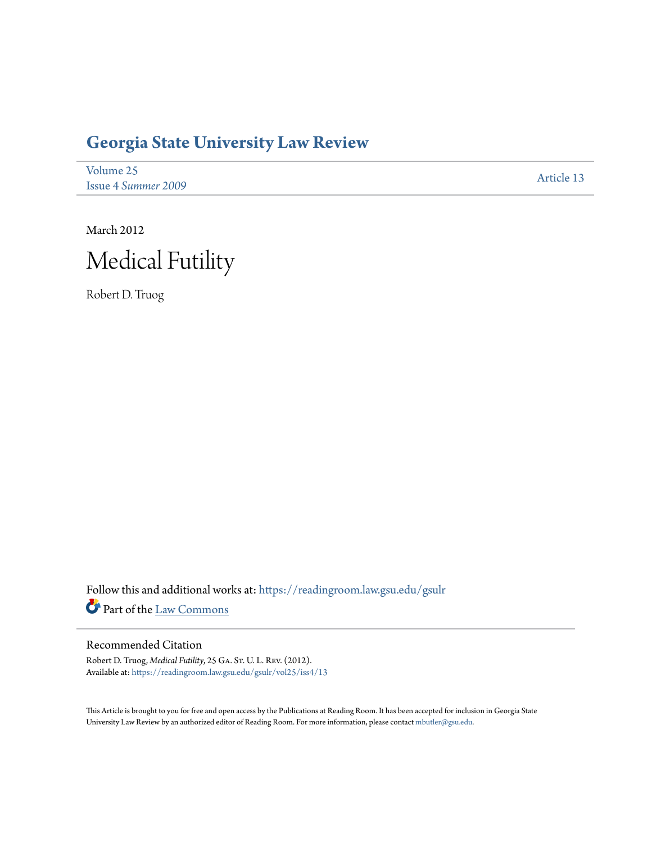# **[Georgia State University Law Review](https://readingroom.law.gsu.edu/gsulr?utm_source=readingroom.law.gsu.edu%2Fgsulr%2Fvol25%2Fiss4%2F13&utm_medium=PDF&utm_campaign=PDFCoverPages)**

| Volume 25                  | Article 13 |
|----------------------------|------------|
| <b>Issue 4 Summer 2009</b> |            |

March 2012 Medical Futility

Robert D. Truog

Follow this and additional works at: [https://readingroom.law.gsu.edu/gsulr](https://readingroom.law.gsu.edu/gsulr?utm_source=readingroom.law.gsu.edu%2Fgsulr%2Fvol25%2Fiss4%2F13&utm_medium=PDF&utm_campaign=PDFCoverPages) Part of the [Law Commons](http://network.bepress.com/hgg/discipline/578?utm_source=readingroom.law.gsu.edu%2Fgsulr%2Fvol25%2Fiss4%2F13&utm_medium=PDF&utm_campaign=PDFCoverPages)

### Recommended Citation

Robert D. Truog, *Medical Futility*, 25 Ga. St. U. L. Rev. (2012). Available at: [https://readingroom.law.gsu.edu/gsulr/vol25/iss4/13](https://readingroom.law.gsu.edu/gsulr/vol25/iss4/13?utm_source=readingroom.law.gsu.edu%2Fgsulr%2Fvol25%2Fiss4%2F13&utm_medium=PDF&utm_campaign=PDFCoverPages)

This Article is brought to you for free and open access by the Publications at Reading Room. It has been accepted for inclusion in Georgia State University Law Review by an authorized editor of Reading Room. For more information, please contact [mbutler@gsu.edu.](mailto:mbutler@gsu.edu)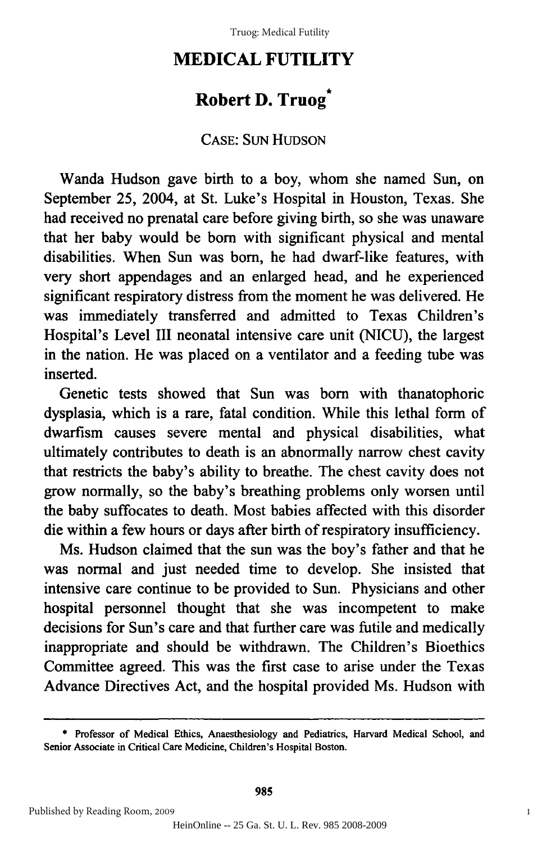## **MEDICAL FUTILITY MEDICAL FUTILITY**

## **Robert D. Truog\* Robert D. Truog** \*

## CASE: SUN HUDSON CASE: SUN HUDSON

Wanda Hudson gave birth to a boy, whom she named Sun, on Wanda Hudson gave birth to a boy, whom she named Sun, on September 25, 2004, at St. Luke's Hospital in Houston, Texas. She had received no prenatal care before giving birth, so she was unaware had received no prenatal care before giving birth, so she was unaware that her baby would be born with significant physical and mental that her baby would be born with significant physical and mental disabilities. When Sun was born, he had dwarf-like features, with disabilities. When Sun was born, he had dwarf-like features, with very short appendages and an enlarged head, and he experienced very short appendages and an enlarged head, and he experienced significant respiratory distress from the moment he was delivered. He significant respiratory distress from the moment he was delivered. He was immediately transferred and admitted to Texas Children's was immediately transferred and admitted to Texas Children's Hospital's Level III neonatal intensive care unit (NICU), the largest Hospital's Level **III** neonatal intensive care unit (NICU), the largest in the nation. He was placed on a ventilator and a feeding tube was inserted. inserted.

Genetic tests showed that Sun was born with thanatophoric dysplasia, which is a rare, fatal condition. While this lethal form of dwarfism causes severe mental and physical disabilities, what dwarfism causes severe mental and physical disabilities, what ultimately contributes to death is an abnormally narrow chest cavity that restricts the baby's ability to breathe. The chest cavity does not that restricts the baby's ability to breathe. The chest cavity does not grow normally, so the baby's breathing problems only worsen until grow nonnally, so the baby's breathing problems only worsen until the baby suffocates to death. Most babies affected with this disorder the baby suffocates to death. Most babies affected with this disorder die within a few hours or days after birth of respiratory insufficiency. die within a few hours or days after birth of respiratory insufficiency.

Ms. Hudson claimed that the sun was the boy's father and that he Ms. Hudson claimed that the sun was the boy's father and that he was normal and just needed time to develop. She insisted that was normal and just needed time to develop. She insisted that intensive care continue to be provided to Sun. Physicians and other intensive care continue to be provided to Sun. Physicians and other hospital personnel thought that she was incompetent to make hospital personnel thought that she was incompetent to make decisions for Sun's care and that further care was futile and medically decisions for Sun's care and that further care was futile and medically inappropriate and should be withdrawn. The Children's Bioethics inappropriate and should be withdrawn. The Children's Bioethics Committee agreed. This was the first case to arise under the Texas Committee agreed. This was the first case to arise under the Texas Advance Directives Act, and the hospital provided Ms. Hudson with Advance Directives Act, and the hospital provided Ms. Hudson with

**<sup>\*</sup>** Professor of Medical Ethics, Anaesthesiology and Pediatrics, Harvard Medical School, and • Professor of Medical Ethics, Anaesthesiology and Pediatrics, Harvard Medical School, and Senior Associate in Critical Care Medicine, Children's Hospital Boston. Senior Associate in Critical Care Medicine, Children's Hospital Boston.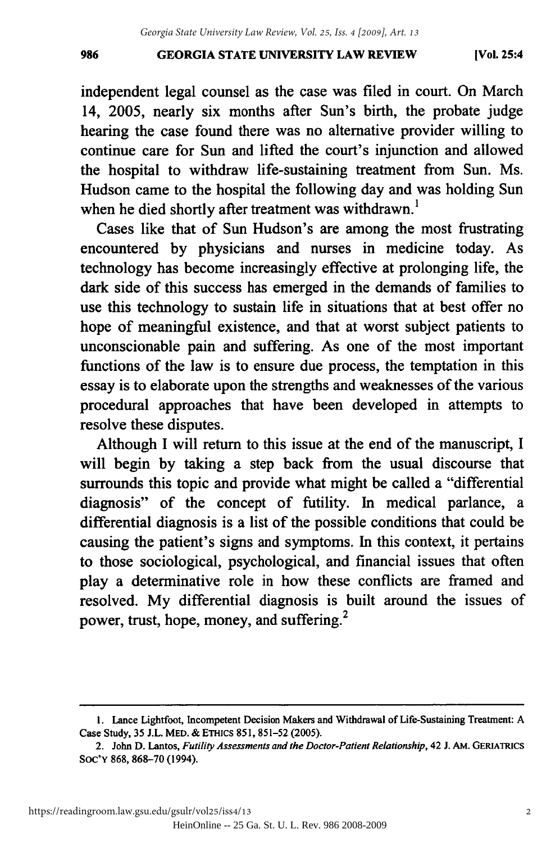#### **GEORGIA STATE UNIVERSITY LAW REVIEW** 986 GEORGIA STATE UNIVERSITY LAW REVIEW (VoL 25:4

independent legal counsel as the case was filed in court. On March 14, **2005,** nearly six months after Sun's birth, the probate judge 14, 2005, nearly six months after Sun's birth, the probate judge hearing the case found there was no alternative provider willing to continue care for Sun and lifted the court's injunction and allowed the hospital to withdraw life-sustaining treatment from Sun. Ms. the hospital to withdraw life-sustaining treatment from Sun. Ms. Hudson came to the hospital the following day and was holding Sun when he died shortly after treatment was withdrawn.<sup>1</sup>

Cases like that of Sun Hudson's are among the most frustrating Cases like that of Sun Hudson's are among the most frustrating encountered by physicians and nurses in medicine today. As technology has become increasingly effective at prolonging life, the technology become increasingly effective at prolonging life, the dark side of this success has emerged in the demands of families to use this technology to sustain life in situations that at best offer no hope of meaningful existence, and that at worst subject patients to hope of meaningful existence, and that at worst subject patients to unconscionable pain and suffering. As one of the most important unconscionable pain and suffering. As one of the most important functions of the law is to ensure due process, the temptation in this functions of the law is to ensure due process, the temptation in this essay is to elaborate upon the strengths and weaknesses of the various essay is to elaborate upon the strengths and weaknesses of the various procedural approaches that have been developed in attempts to procedural approaches that have been developed in attempts to resolve these disputes. resolve these disputes.

Although I will return to this issue at the end of the manuscript, I will begin **by** taking a step back from the usual discourse that will begin by taking a step back from the usual discourse that surrounds this topic and provide what might be called a "differential surrounds this topic and provide what might be called a "differential diagnosis" of the concept of futility. In medical parlance, a diagnosis" of concept of futility. In medical parlance, a differential diagnosis is a list of the possible conditions that could be causing the patient's signs and symptoms. In this context, it pertains to those sociological, psychological, and financial issues that often play a determinative role in how these conflicts are framed and play a determinative role in how these conflicts are framed and resolved. My differential diagnosis is built around the issues of power, trust, hope, money, and suffering.<sup>2</sup>

**<sup>1.</sup>** Lance Lightfoot, Incompetent Decision Makers and Withdrawal of Life-Sustaining Treatment: **A** I. Lance Lightfoot, Incompetent Decision Makers and Withdrawal Life-Sustaining Treatment: A Case Study, **35 J.L.** MED. **&** ETHics **851, 851-52 (2005).** Case Study, 35 J.L. MED. & ETHICS 851, 851-52 (2005).

<sup>2.</sup> John **D.** Lantos, *Futility Assessments and the Doctor-Patient Relationship,* 42 **J.** AM. GERIATRICS 2. John D. Lantos, *Futility Assessments and the Doctor-Patient Relationship,* 42 J. AM. GERlAlRICS **Soc'Y 868, 868-70** (1994). SOC'y 868, 868-70 (1994).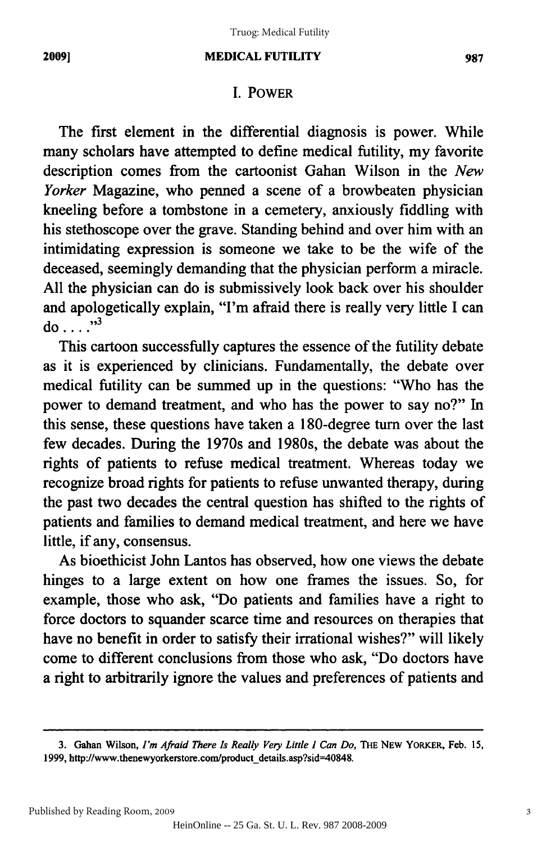#### **MEDICAL FUTILITY** 2009) MEDICAL FUTILITY 987

#### I. POWER I. POWER

The first element in the differential diagnosis is power. While The first element in the differential diagnosis is power. While many scholars have attempted to define medical futility, my favorite many scholars have attempted to define medical futility, my favorite description comes from the cartoonist Gahan Wilson in the *New* description comes from the cartoonist Gahan Wilson in the *New Yorker* Magazine, who penned a scene of a browbeaten physician *Yorker* Magazine, who penned a scene of a browbeaten physician kneeling before a tombstone in a cemetery, anxiously fiddling with kneeling before a tombstone in a cemetery, anxiously fiddling with his stethoscope over the grave. Standing behind and over him with an his stethoscope over the grave. Standing behind and over him with an intimidating expression is someone we take to be the wife of the intimidating expression is someone we take to be the wife of the deceased, seemingly demanding that the physician perform a miracle. deceased, seemingly demanding that the physician perform a miracle. All the physician can do is submissively look back over his shoulder All the physician can do is submissively look back over his shoulder and apologetically explain, "I'm afraid there is really very little I can  $\overline{d}$  ...<sup>3</sup>

This cartoon successfully captures the essence of the futility debate This cartoon successfully captures the essence of the futility debate as it is experienced by clinicians. Fundamentally, the debate over medical futility can be summed up in the questions: "Who has the medical futility can be summed up in the questions: "Who has the power to demand treatment, and who has the power to say no?" In this sense, these questions have taken a 180-degree turn over the last this sense, these questions have taken a 180-degree turn over the last few decades. During the 1970s and 1980s, the debate was about the few decades. During the 1970s and 1980s, the debate was about the rights of patients to refuse medical treatment. Whereas today we rights of patients to refuse medical treatment. Whereas today we recognize broad rights for patients to refuse unwanted therapy, during the past two decades the central question has shifted to the rights of the past two decades the central question has shifted to the rights of patients and families to demand medical treatment, and here we have patients and families to demand medical treatment, and here we have little, if any, consensus. little, if any, consensus.

As bioethicist John Lantos has observed, how one views the debate As bioethicist John Lantos has observed, how one views the debate hinges to a large extent on how one frames the issues. So, for hinges to a large extent on how one frames the issues. So, for example, those who ask, "Do patients and families have a right to force doctors to squander scarce time and resources on therapies that force doctors to squander scarce time and resources on therapies that have no benefit in order to satisfy their irrational wishes?" will likely have no benefit in order to satisfy their irrational wishes?" will likely come to different conclusions from those who ask, "Do doctors have a right to arbitrarily ignore the values and preferences of patients and

<sup>3.</sup> Gahan Wilson, *I'm Afraid There Is Really Very Little I Can Do,* THE **NEW** YORKER, Feb. **15,** 3. Gahan Wilson, *I"m Afraid There Is Really Very Little I Can Do,* THE NEW YORKER, Feb. IS, **1999,** http://www.thenewyorkerstore.com/product-details.asp?sid=40848. 1999, http://www.thenewyorkerstore.com/product\_details.asp?sid=40848.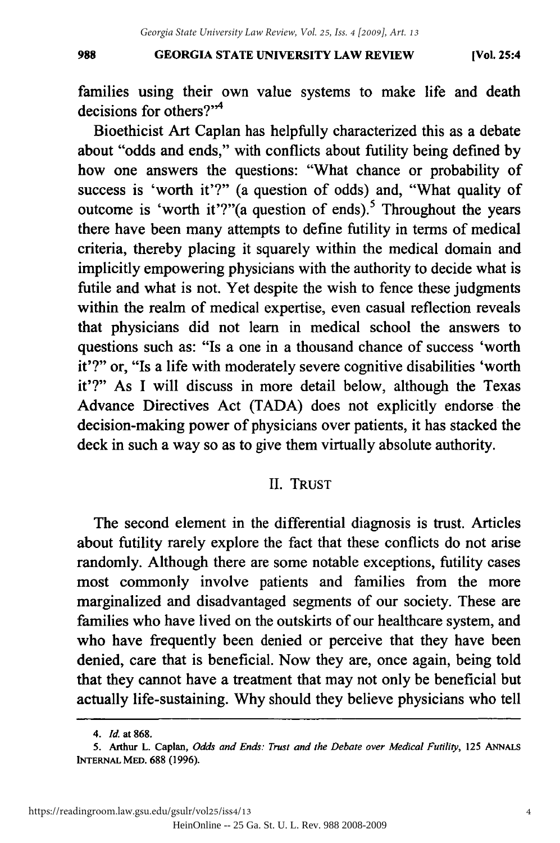#### **GEORGIA STATE UNIVERSITY LAW REVIEW** 988 GEORGIA STATE UNIVERSITY LAW REVIEW (Vol. 25:4

**[Vol. 25:4**

families using their own value systems to make life and death families using their own value systems to make life and death decisions for others?" $4$ 

Bioethicist Art Caplan has helpfully characterized this as a debate about "odds and ends," with conflicts about futility being defined by how one answers the questions: "What chance or probability of how one answers the questions: "What chance or probability of success is 'worth it'?" (a question of odds) and, "What quality of success is 'worth it'?" (a question of odds) and, "What quality of outcome is 'worth it'?"(a question of ends).<sup>5</sup> Throughout the years there have been many attempts to define futility in terms of medical there have been many attempts to define futility in terms of medical criteria, thereby placing it squarely within the medical domain and implicitly empowering physicians with the authority to decide what is implicitly empowering physicians with the authority to decide what is futile and what is not. Yet despite the wish to fence these judgments futile and what is not. Yet despite the wish to fence these judgments within the realm of medical expertise, even casual reflection reveals within the realm of medical expertise, even casual reflection reveals that physicians did not learn in medical school the answers to that physicians did not learn in medical school the answers to questions such as: "Is a one in a thousand chance of success 'worth questions such as: "Is a one in a thousand chance of success 'worth it'?" or, "Is a life with moderately severe cognitive disabilities 'worth it'?" or, "Is a life with moderately severe cognitive disabilities 'worth it'?" As I will discuss in more detail below, although the Texas Advance Directives Act **(TADA)** does not explicitly endorse the Advance Directives Act (TADA) does not explicitly endorse the decision-making power of physicians over patients, it has stacked the decision-making power of physicians over patients, it has stacked the deck in such a way so as to give them virtually absolute authority. deck in such a way so as to give them virtually absolute authority.

#### II. TRUST II. TRUST

The second element in the differential diagnosis is trust. Articles The second element in the differential diagnosis is trust. Articles about futility rarely explore the fact that these conflicts do not arise about futility rarely explore the fact that these conflicts do not arise randomly. Although there are some notable exceptions, futility cases randomly. Although there are some notable exceptions, futility cases most commonly involve patients and families from the more most commonly involve patients and families from the more marginalized and disadvantaged segments of our society. These are marginalized and disadvantaged segments of our society. These are families who have lived on the outskirts of our healthcare system, and who have frequently been denied or perceive that they have been denied, care that is beneficial. Now they are, once again, being told denied, care that is beneficial. Now they are, once again, being told that they cannot have a treatment that may not only be beneficial but that they cannot have a treatment that may not only be beneficial but actually life-sustaining. **Why** should they believe physicians who tell actually life-sustaining. Why should they believe physicians who tell

*<sup>4.</sup> Id.* at **868.** *4. Id.* at 868.

**<sup>5.</sup> Arthur L. Caplan,** *Odds and Ends: Trust and the Debate over Medical Futility,* **125 ANNALS** 5. Arthur L. Caplan, *Odds and Ends: Trust and the Debate over Medical Futility,* 125 ANNALS **INTERNAL MED. 688 (1996).**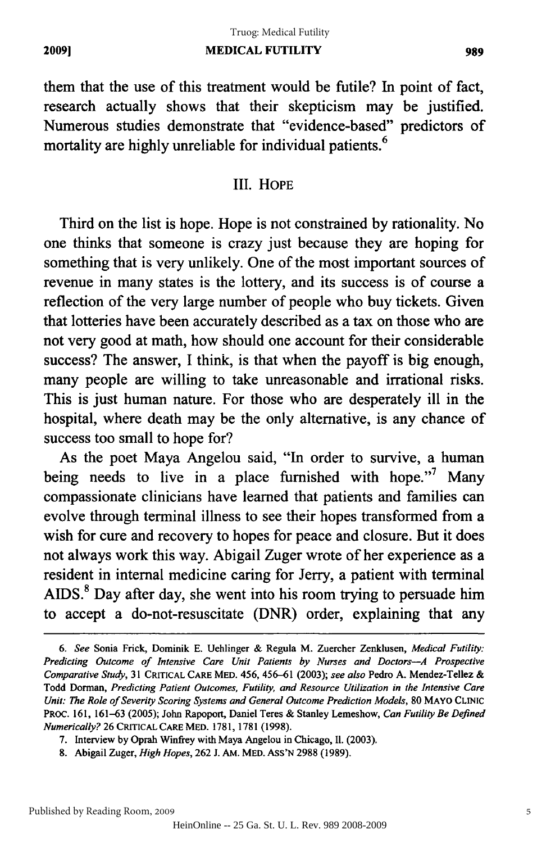## **MEDICAL FUTILITY** 2009] MEDICAL FUTILITY 989 Truog: Medical Futility

them that the use of this treatment would be futile? In point of fact, them that the use of this treatment would be futile? In point of fact, research actually shows that their skepticism may be justified. research actually shows that their skepticism may be justified. Numerous studies demonstrate that "evidence-based" predictors of Numerous studies demonstrate that "evidence-based" predictors of mortality are highly unreliable for individual patients. <sup>6</sup> mortality are highly unreliable for individual patients.<sup>6</sup>

## III. HOPE III. HOPE

Third on the list is hope. Hope is not constrained by rationality. No Third on the list is hope. Hope is not constrained by rationality. No one thinks that someone is crazy just because they are hoping for something that is very unlikely. One of the most important sources of revenue in many states is the lottery, and its success is of course a revenue in many states is the lottery, and its success is of course a reflection of the very large number of people who buy tickets. Given reflection of the very large number of people who buy tickets. Given that lotteries have been accurately described as a tax on those who are that lotteries have been accurately described as a tax on those who are not very good at math, how should one account for their considerable not very good at math, how should one account for their considerable success? The answer, I think, is that when the payoff is big enough, many people are willing to take unreasonable and irrational risks. many people are willing to take unreasonable and irrational risks. This is just human nature. For those who are desperately ill in the hospital, where death may be the only alternative, is any chance of success too small to hope for? success too small to hope for?

As the poet Maya Angelou said, "In order to survive, a human being needs to live in a place furnished with hope."<sup>7</sup> Many compassionate clinicians have learned that patients and families can evolve through terminal illness to see their hopes transformed from a evolve through terminal illness to see their hopes transformed from a wish for cure and recovery to hopes for peace and closure. But it does wish for cure and recovery to hopes for peace and closure. But it does not always work this way. Abigail Zuger wrote of her experience as a not always work this way. Abigail Zuger wrote of her experience as a resident in internal medicine caring for Jerry, a patient with terminal resident in internal medicine caring for Jerry, a patient with terminal AIDS.<sup>8</sup> Day after day, she went into his room trying to persuade him to accept a do-not-resuscitate (DNR) order, explaining that any to accept a do-not-resuscitate (DNR) order, explaining that any

*<sup>6.</sup>* See Sonia Frick, Dominik E. Uehlinger & Regula M. Zuercher Zenklusen, Medical Futility: *6. See* Sonia Frick, Dominik E. Uehlinger & Regula M. Zuercher Zenklusen, *Medical Futility:*  Predicting Outcome of Intensive Care Unit Patients by Nurses and Doctors-A Prospective *Predicting Outcome of Intensive Care Unit Patients by Nurses and Doctors-A Prospective*  Comparative Study, 31 CRITICAL **CARE** MED. 456, 456-61 (2003); see also Pedro A. Mendez-Tellez & *Comparative Study,* 31 CARE MED. 456, 456-61 (2003); *see also* Pedro A. Mendez-Tellez & Todd Dorman, Predicting Patient Outcomes, Futility, and Resource Utilization in the Intensive Care Todd Dorman, *Predicting Patient Outcomes. Futility. and Resource Utilization in the Intensive Care*  Unit: The Role of Severity Scoring Systems and General Outcome Prediction Models, 80 MAYO **CLINIC** *Unit: The Role of Severity Scoring Systems and General Outcome Prediction Models,* 80 MAyo CLINIC PROC. 161, 161-63 (2005); John Rapoport, Daniel Teres & Stanley Lemeshow, Can Futility Be Defined 161, 161-63 (2005); John Rapoport, Daniel Teres & Stanley Lemeshow, *Can Futility Be Defined*  Numerically? 26 CRITICAL CARE MED. 1781, 1781 (1998). *Numerically?* 26 CRITICAL CARE MED. 1781,1781 (1998).

<sup>7.</sup> Interview by Oprah Winfrey with Maya Angelou in Chicago, Ii. (2003). 7. Interview by Oprah with Maya Angelou Chicago, II. (2003).

<sup>8.</sup> Abigail Zuger, High *Hopes,* 262 J. AM. MED. ASS'N 2988 (1989). 8. Abigail Zuger, *High Hopes,* 262 1. AM. MED. AsS'N 2988 (1989).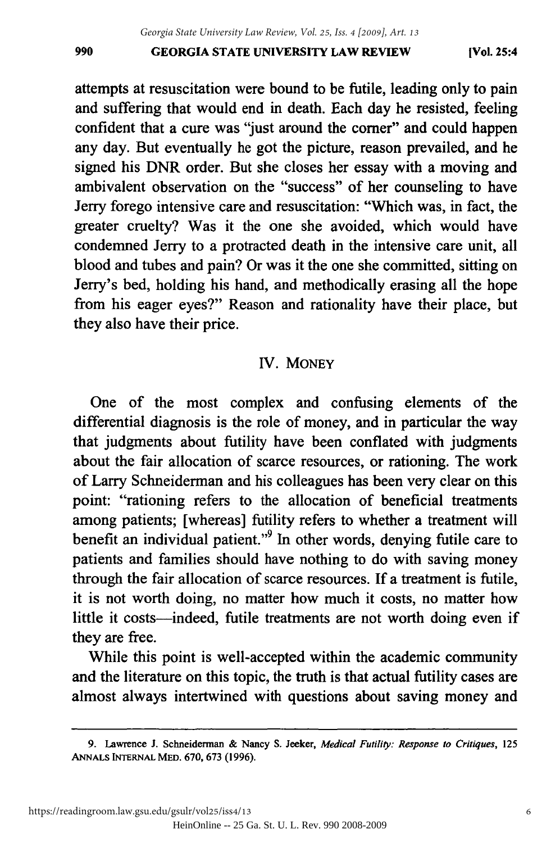#### **GEORGIA STATE UNIVERSITY LAW REVIEW** 990 GEORGIA STATE UNIVERSITY LAW REVIEW (Vol. 25:4

**[Vol. 25:4**

attempts at resuscitation were bound to be futile, leading only to pain attempts at resuscitation were bound to be futile, leading only to pain and suffering that would end in death. Each day he resisted, feeling and suffering that would end in death. Each day he resisted, feeling confident that a cure was "just around the comer" and could happen confident that a cure was "just around the comer" and could happen any day. But eventually he got the picture, reason prevailed, and he any day. But eventually he got the picture, reason prevailed, and he signed his DNR order. But she closes her essay with a moving and ambivalent observation on the "success" of her counseling to have Jerry forego intensive care and resuscitation: "Which was, in fact, the Jerry forego intensive care and resuscitation: "Which was, fact, the greater cruelty? Was it the one she avoided, which would have greater cruelty? Was it the one she avoided, which would have condemned Jerry to a protracted death in the intensive care unit, all blood and tubes and pain? Or was it the one she committed, sitting on blood and tubes and pain? Or was it the one she committed, sitting on Jerry's bed, holding his hand, and methodically erasing all the hope Jerry's bed, holding his hand, and methodically erasing all the hope from his eager eyes?" Reason and rationality have their place, but from his eager eyes?" Reason and rationality have their place, but they also have their price. they also have their price.

## IV. MONEY IV. MONEY

One of the most complex and confusing elements of the One of the most complex and confusing elements of the differential diagnosis is the role of money, and in particular the way that judgments about futility have been conflated with judgments that judgments about have been conflated with judgments about the fair allocation of scarce resources, or rationing. The work of Larry Schneiderman and his colleagues has been very clear on this point: "rationing refers to the allocation of beneficial treatments point: "rationing refers to allocation of beneficial treatments among patients; [whereas] futility refers to whether a treatment will among patients; [whereas] futility refers to whether a treatment will benefit an individual patient."<sup>9</sup> In other words, denying futile care to patients and families should have nothing to do with saving money patients and families should have nothing to do with saving money through the fair allocation of scarce resources. If a treatment is futile, through the fair allocation of scarce resources. If a treatment is futile, it is not worth doing, no matter how much it costs, no matter how it is not worth doing, no matter how much it costs, no matter how little it costs-indeed, futile treatments are not worth doing even if they are free. they are free.

While this point is well-accepted within the academic community While this point is well-accepted within the academic community and the literature on this topic, the truth is that actual futility cases are almost always intertwined with questions about saving money and almost intertwined with questions saving money and

<sup>9.</sup> Lawrence **J.** Schneiderman & Nancy S. Jeeker, *Medical Futility: Response to Critiques,* 125 9. Lawrence J. Schneidennan & Nancy S. Jeeker, *Medical Futility: Response to Critiques, 125*  **ANNALS INTERNAL MED.** 670, **673 (1996).** ANNALS INTERNAL MED. 670, 673 (1996).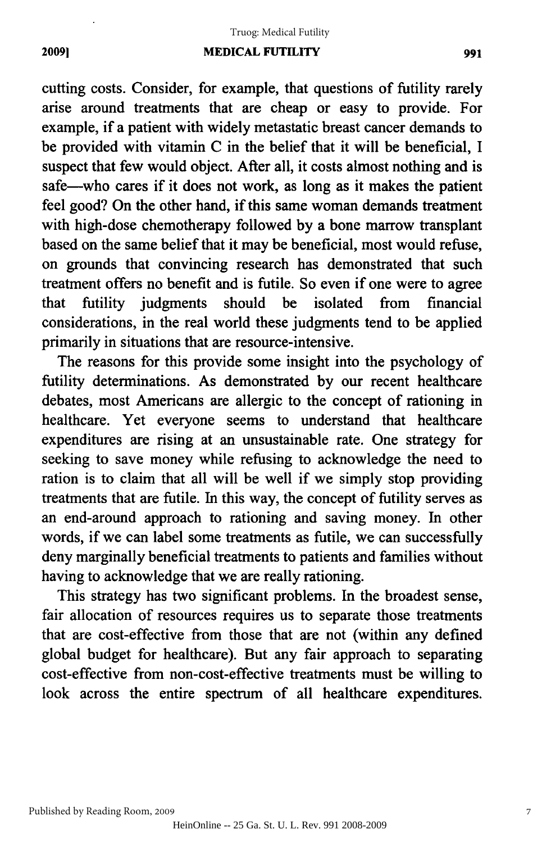#### Truog: Medical Futility

#### **MEDICAL FUTILITY** 2009] MEDICAL FUTILITY 991

cutting costs. Consider, for example, that questions of futility rarely arise around treatments that are cheap or easy to provide. For example, if a patient with widely metastatic breast cancer demands to be provided with vitamin C in the belief that it will be beneficial, I suspect that few would object. After all, it costs almost nothing and is safe-who cares if it does not work, as long as it makes the patient feel good? On the other hand, if this same woman demands treatment with high-dose chemotherapy followed by a bone marrow transplant with high-dose chemotherapy followed by a bone marrow transplant based on the same belief that it may be beneficial, most would refuse, on grounds that convincing research has demonstrated that such treatment offers no benefit and is futile. So even if one were to agree that futility judgments should be isolated from financial that futility judgments should be isolated from financial considerations, in the real world these judgments tend to be applied primarily in situations that are resource-intensive. primarily in situations that are resource-intensive.

The reasons for this provide some insight into the psychology of The reasons for this provide some insight into the psychology of futility determinations. As demonstrated by our recent healthcare futility determinations. As demonstrated by our recent healthcare debates, most Americans are allergic to the concept of rationing in debates, most Americans are allergic the concept of rationing in healthcare. Yet everyone seems to understand that healthcare expenditures are rising at an unsustainable rate. One strategy for seeking to save money while refusing to acknowledge the need to seeking to save money while refusing to acknowledge the need to ration is to claim that all will be well if we simply stop providing treatments that are futile. In this way, the concept of futility serves as treatments that are futile. In this way, the concept of futility serves as an end-around approach to rationing and saving money. In other words, if we can label some treatments as futile, we can successfully words, if we can label some treatments as futile, we can successfully deny marginally beneficial treatments to patients and families without deny marginally beneficial treatments to patients and families without having to acknowledge that we are really rationing. having to acknowledge that we are really rationing.

This strategy has two significant problems. In the broadest sense, This strategy has two significant problems. In the broadest sense, fair allocation of resources requires us to separate those treatments fair allocation of resources requires us to separate those treatments that are cost-effective from those that are not (within any defined that are cost-effective from those that are not (within any defined global budget for healthcare). But any fair approach to separating global budget for health care ). But any fair approach to separating cost-effective from non-cost-effective treatments must be willing to cost-effective from non-cost-effective treatments must be willing to look across the entire spectrum of all healthcare expenditures.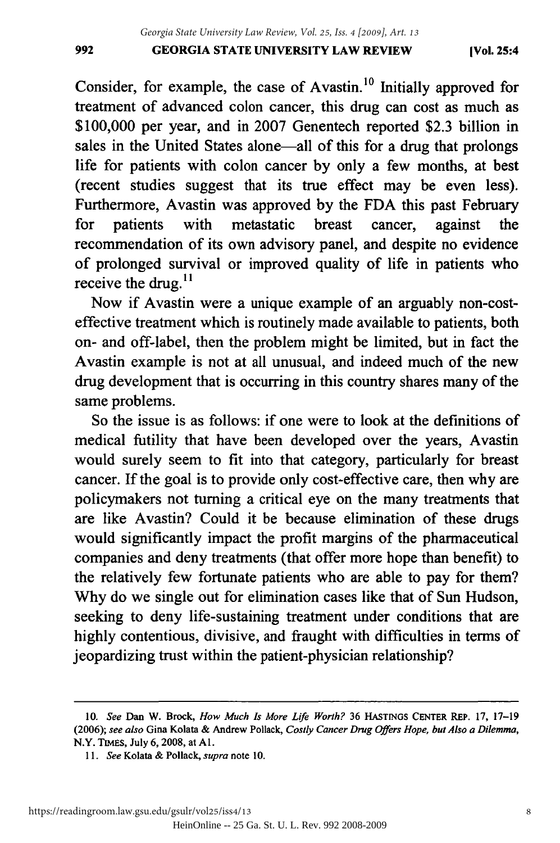#### **[Vol. 25:4**

Consider, for example, the case of Avastin.<sup>10</sup> Initially approved for treatment of advanced colon cancer, this drug can cost as much as treatment of advanced colon cancer, this drug can cost as much as \$100,000 per year, and in 2007 Genentech reported \$2.3 billion in \$100,000 per year, and in 2007 Genentech reported \$2.3 billion in sales in the United States alone—all of this for a drug that prolongs life for patients with colon cancer **by** only a few months, at best life for patients with colon cancer by only a few months, at best (recent studies suggest that its true effect may be even less). (recent studies suggest that its true effect may be even less). Furthermore, Avastin was approved by the FDA this past February Furthermore, Avastin was approved by the FDA this past February for patients with metastatic breast cancer, against the recommendation of its own advisory panel, and despite no evidence of prolonged survival or improved quality of life in patients who of prolonged survival or improved quality of life in patients who receive the drug. $^{11}$ 

Now if Avastin were a unique example of an arguably non-costeffective treatment which is routinely made available to patients, both effective treatment which is routinely made available to patients, both on- and off-label, then the problem might be limited, but in fact the on- and off-label, then the problem might be limited, but in fact the Avastin example is not at all unusual, and indeed much of the new A vastin example is not at all unusual, and indeed much of the new drug development that is occurring in this country shares many of the drug development that is occurring in this country shares many of the same problems. same problems.

So the issue is as follows: if one were to look at the definitions of So the issue is as follows: if one were to look at the definitions of medical futility that have been developed over the years, Avastin would surely seem to fit into that category, particularly for breast would surely seem to fit into that category, particularly breast cancer. If the goal is to provide only cost-effective care, then why are cancer. If the goal is to provide only cost-effective care, then why are policymakers not turning a critical eye on the many treatments that policymakers not turning a critical eye on the many treatments that are like Avastin? Could it be because elimination of these drugs are like Avastin? Could it be because elimination of drugs would significantly impact the profit margins of the pharmaceutical would significantly impact the profit margins of the pharmaceutical companies and deny treatments (that offer more hope than benefit) to companies and deny treatments (that offer hope than benefit) to the relatively few fortunate patients who are able to pay for them? the relatively few fortunate patients who are able to pay for them? Why do we single out for elimination cases like that of Sun Hudson, Why do we single out for elimination cases like that of Sun Hudson, seeking to deny life-sustaining treatment under conditions that are seeking to deny life-sustaining treatment under conditions that are highly contentious, divisive, and fraught with difficulties in terms of highly contentious, divisive, and fraught with difficulties in terms of jeopardizing trust within the patient-physician relationship? jeopardizing trust within the patient-physician relationship?

<sup>10.</sup> *See* Dan W. Brock, *How Much Is More Life Worth?* **36 HASTINGS CENTER** REP. **17, 17-19** *10. See* Dan W. Brock, *How Much Is More Life Worth?* 36 HAsTINGS CENTER REp. 17, 17-19 (2006); see also Gina Kolata & Andrew Pollack, Costly Cancer Drug Offers Hope, but Also a Dilemma, N.Y. TIMES, July **6, 2008,** at **Al.** N.Y. TIMES, July 6, 2008, at AI.

*<sup>11.</sup>* See Kolata **&** Pollack, *supra* note **10.** II. *See* Kolata & Pollack, *supra* note 10.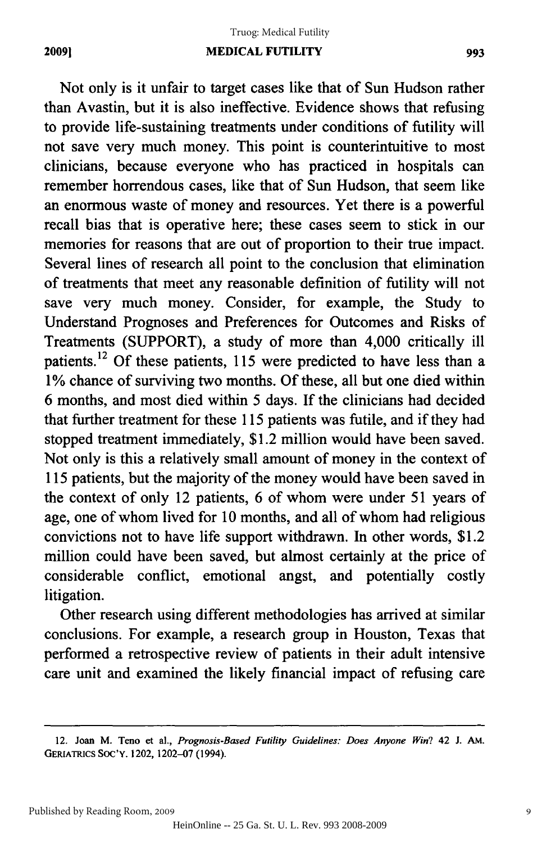#### **20091**

Not only is it unfair to target cases like that of Sun Hudson rather than Avastin, but it is also ineffective. Evidence shows that refusing than A vastin, but it is also ineffective. Evidence shows that refusing to provide life-sustaining treatments under conditions of futility will to provide life-sustaining treatments under conditions of futility will not save very much money. This point is counterintuitive to most not save very much money. This point is counterintuitive to most clinicians, because everyone who has practiced in hospitals can clinicians, because everyone who has practiced in hospitals can remember horrendous cases, like that of Sun Hudson, that seem like an enormous waste of money and resources. Yet there is a powerful an enormous waste of money and resources. there is a powerful recall bias that is operative here; these cases seem to stick in our recall bias that is operative here; these cases seem to stick in our memories for reasons that are out of proportion to their true impact. Several lines of research all point to the conclusion that elimination Several lines of research all point to the conclusion elimination of treatments that meet any reasonable definition of futility will not save very much money. Consider, for example, the Study to Understand Prognoses and Preferences for Outcomes and Risks of Treatments (SUPPORT), a study of more than 4,000 critically ill Treatments (SUPPORT), a of more than 4,000 critically ill patients.<sup>12</sup> Of these patients, 115 were predicted to have less than a 1% chance of surviving two months. Of these, all but one died within 6 months, and most died within 5 days. **If** the clinicians had decided 6 months, and most died within 5 days. If the clinicians had decided that further treatment for these 115 patients was futile, and if they had stopped treatment immediately, \$1.2 million would have been saved. stopped treatment immediately, \$1.2 million would have been saved. Not only is this a relatively small amount of money in the context of Not only is this a relatively small amount of money in the context of 115 patients, but the majority of the money would have been saved in 115 patients, but the majority of the money would have been saved in the context of only 12 patients, 6 of whom were under 51 years of age, one of whom lived for 10 months, and all of whom had religious age, one of whom lived for 10 months, and all of whom had religious convictions not to have life support withdrawn. In other words, \$1.2 convictions not to have life support withdrawn. In other words, \$1.2 million could have been saved, but almost certainly at the price of considerable conflict, emotional angst, and potentially costly considerable conflict, emotional angst, and potentially costly litigation. litigation.

Other research using different methodologies has arrived at similar Other research using different methodologies has arrived at similar conclusions. For example, a research group in Houston, Texas that performed a retrospective review of patients in their adult intensive care unit and examined the likely financial impact of refusing care

<sup>12.</sup> Joan **M.** Teno et al., *Prognosis-Based Futility Guidelines: Does Anyone Win?* 42 **J. AM.** 12. Joan M. Teno et aI., *Prognosis·Based Futility Guidelines: Does Anyone Win?* 42 J. AM. GERIATRICS **SOC'Y.** 1202, 1202-07 (1994). GERIATRICS SOC'Y. 1202, 1202-07 (1994).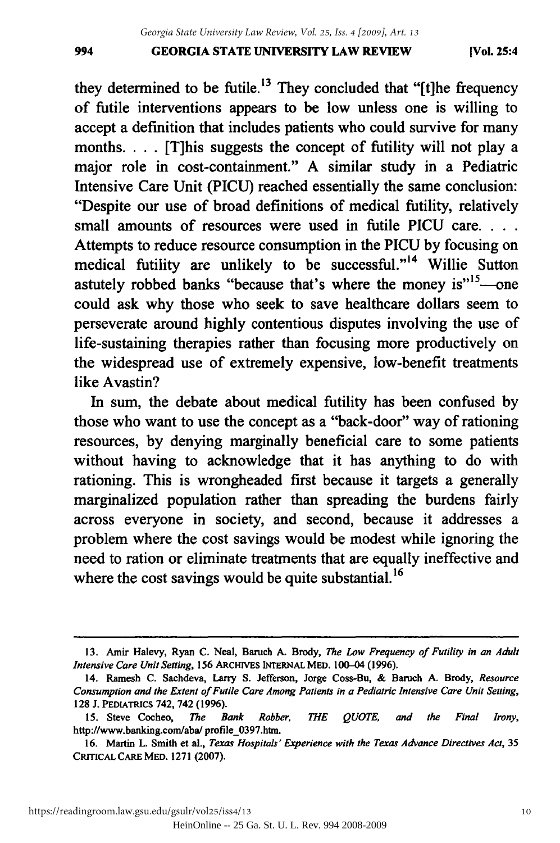#### **GEORGIA STATE UNIVERSITY LAW REVIEW** 994 GEORGIA STATE UNIVERSITY LAW REVIEW (VoL 25:4

they determined to be futile.<sup>13</sup> They concluded that "[t]he frequency of futile interventions appears to be low unless one is willing to accept a definition that includes patients who could survive for many accept a definition that includes patients who could survive for many months. . **.** .[T]his suggests the concept of futility will not play a months. . . . [T]his suggests the concept of futility will not play a major role in cost-containment." A similar study in a Pediatric major role in cost-containment." A similar study in a Pediatric Intensive Care Unit (PICU) reached essentially the same conclusion: Intensive Care Unit (PICU) reached essentially the same conclusion: "Despite our use of broad definitions of medical futility, relatively "Despite our use of broad definitions of medical futility, relatively small amounts of resources were used in futile PICU care. . . . Attempts to reduce resource consumption in the PICU by focusing on Attempts to reduce resource consumption in the PICU by focusing on medical futility are unlikely to be successful."<sup>14</sup> Willie Sutton astutely robbed banks "because that's where the money is"<sup>15</sup>—one could ask why those who seek to save healthcare dollars seem to could ask why those who seek to save healthcare dollars seem to perseverate around highly contentious disputes involving the use of life-sustaining therapies rather than focusing more productively on life-sustaining therapies rather than focusing more productively on the widespread use of extremely expensive, low-benefit treatments like Avastin? like Avastin?

In sum, the debate about medical futility has been confused by In sum, the debate about medical futility has been confused by those who want to use the concept as a "back-door" way of rationing those who want to use the concept as a "back-door" way of rationing resources, by denying marginally beneficial care to some patients resources, by denying marginally beneficial care to some patients without having to acknowledge that it has anything to do with without having to acknowledge that it has anything to do with rationing. This is wrongheaded first because it targets a generally rationing. This is wrongheaded first because it targets a generally marginalized population rather than spreading the burdens fairly marginalized population rather than spreading the burdens fairly across everyone in society, and second, because it addresses a across everyone in society, and second, because it addresses a problem where the cost savings would be modest while ignoring the need to ration or eliminate treatments that are equally ineffective and need to ration or eliminate treatments that are equally ineffective and where the cost savings would be quite substantial.<sup>16</sup>

<sup>13.</sup> Amir Halevy, Ryan **C.** Neal, Baruch **A.** Brody, *The Low Frequency of Futility in an Adult* 13. Amir Halevy, Ryan C. Neal, Baruch A. Brody, *The Low Frequency of Futility in an Adult Intensive Care Unit Setting,* **156** ARcHIVES INTERNAL MED. 100-04 **(1996).** Intensive Care Unit Setting, 156 ARCHIVES INTERNAL MED. 100–04 (1996).<br>14. Ramesh C. Sachdeva, Larry S. Jefferson, Jorge Coss-Bu, & Baruch A. Brody, Resource

*Consumption and the Extent of Futile Care Among Patients in a Pediatric Intensive Care Unit Setting, Consumption and the Extent of Futile Care Among Patients in a Pediatric Intensive Care Unit Setting,*  **128 J. PEDIATRICS** 742, 742 **(1996).** 128 J. PEDIATRICS 742, 742 (1996).

**<sup>15.</sup>** Steve Cocheo, *The Bank Robber, THE QUOTE, and the Final Irony,* IS. Steve Cocheo, *The Bank Robber, QUOTE, and the Final Irony,*  http://www.banking.com/aba/ profile\_0397.htm.

**<sup>16.</sup>** Martin L. Smith et al., *Texas Hospitals' Experience with the Texas Advance Directives Act,* **35** 16. Martin L. Smith et aI., *Texas Hospitals' Experience with the Texas Advance Directives Act, 35*  CRITIcAL **CARE MED. 1271 (2007).** CRITICALCAREMED. 1271 (2007).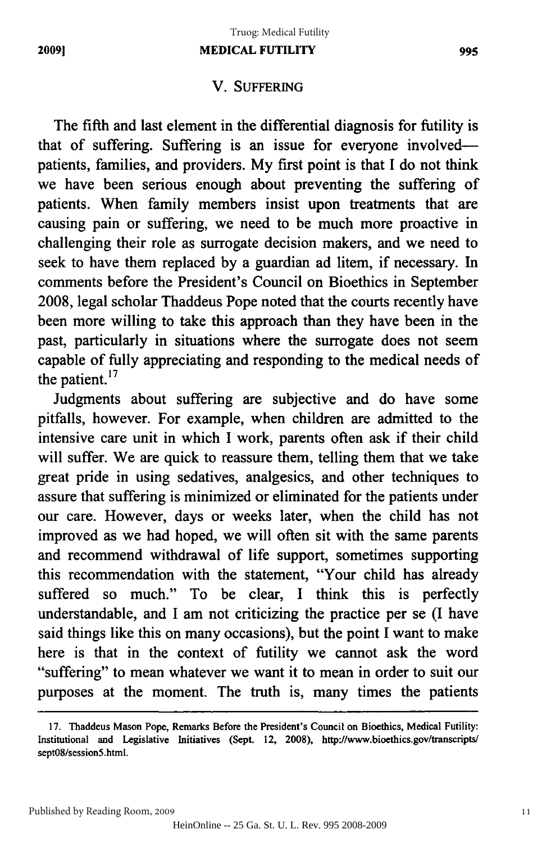## **V. SUFFERING** V. SUFFERING

The fifth and last element in the differential diagnosis for futility is The fifth and last element in the differential diagnosis for futility is that of suffering. Suffering is an issue for everyone involved-that of suffering. Suffering is an issue for everyone involvedpatients, families, and providers. **My** first point is that I do not think patients, families, and providers. My first point is that I do not think we have been serious enough about preventing the suffering of patients. When family members insist upon treatments that are causing pain or suffering, we need to be much more proactive in causing pain or suffering, we need to be much more proactive in challenging their role as surrogate decision makers, and we need to seek to have them replaced **by** a guardian ad litem, if necessary. In seek to have replaced by a guardian ad litem, if necessary. In comments before the President's Council on Bioethics in September comments before the President's Council on Bioethics in September 2008, legal scholar Thaddeus Pope noted that the courts recently have 2008, legal scholar Thaddeus Pope noted that the courts recently have been more willing to take this approach than they have been in the been more willing to take this approach than they have been in the past, particularly in situations where the surrogate does not seem past, particularly in situations where the surrogate does seem capable of fully appreciating and responding to the medical needs of capable of fully appreciating and responding to the medical needs of the patient. $17$ 

Judgments about suffering are subjective and do have some pitfalls, however. For example, when children are admitted to the intensive care unit in which I work, parents often ask if their child will suffer. We are quick to reassure them, telling them that we take great pride in using sedatives, analgesics, and other techniques to assure that suffering is minimized or eliminated for the patients under our care. However, days or weeks later, when the child has not improved as we had hoped, we will often sit with the same parents and recommend withdrawal of life support, sometimes supporting and recommend withdrawal of life support, sometimes supporting this recommendation with the statement, "Your child has already this recommendation with the statement, "Your child has already suffered so much." To be clear, I think this is perfectly suffered so much." To be clear, I think this is perfectly understandable, and I am not criticizing the practice per se (I have said things like this on many occasions), but the point I want to make said things like this on many occasions), but the point I want to make here is that in the context of futility we cannot ask the word here is that in the context of futility we cannot ask the word "suffering" to mean whatever we want it to mean in order to suit our "suffering" to mean whatever we want it to mean in order to suit our purposes at the moment. The truth is, many times the patients purposes at the moment. The truth is, many times the patients

**<sup>17.</sup>** Thaddeus Mason Pope, Remarks Before the President's Council on Bioethics, Medical Futility: 17. Thaddeus Remarks Before the President's Council on Bioethics, Medical Futility: Institutional and Legislative Initiatives (Sept. 12, 2008), http://www.bioethics.gov/transcripts/ sept08/session5.html. sept08/session5.html.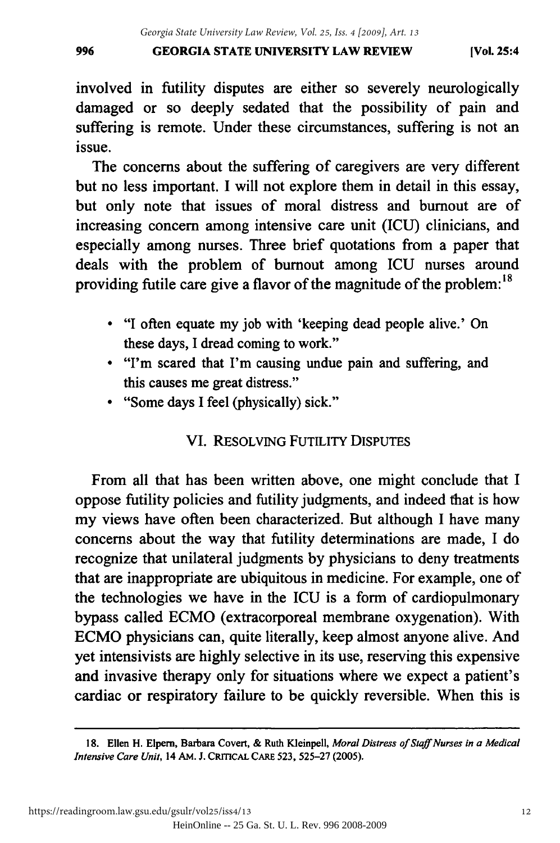## **GEORGIA STATE UNIVERSITY LAW REVIEW** 996 GEORGIA STATE UNIVERSITY LAW REVIEW (Vol. 25:4

involved in futility disputes are either so severely neurologically involved in futility disputes are either so severely neurologically damaged or so deeply sedated that the possibility of pain and suffering is remote. Under these circumstances, suffering is not an suffering is remote. Under these circumstances, suffering is not an issue. Issue.

The concerns about the suffering of caregivers are very different but no less important. I will not explore them in detail in this essay, but no less important. I will not explore them in detail in this essay, but only note that issues of moral distress and burnout are of but only note that issues of moral distress and burnout are of increasing concern among intensive care unit (ICU) clinicians, and especially among nurses. Three brief quotations from a paper that especially among nurses. Three brief quotations from a paper that deals with the problem of burnout among ICU nurses around providing futile care give a flavor of the magnitude of the problem: <sup>18</sup> providing futile care give a flavor of the magnitude of the problem: 18

- "I often equate my job with 'keeping dead people alive.' On "I often equate my job with 'keeping dead people alive.' On these days, I dread coming to work." these days, 1 dread coming to work."
- "I'm scared that I'm causing undue pain and suffering, and "I'm scared that I'm causing undue pain and suffering, and this causes me great distress." this causes me great distress."
- "Some days I feel (physically) sick." "Some days 1 feel (physically) sick."

## VI. RESOLVING FUTILITY DISPUTES

From all that has been written above, one might conclude that I oppose futility policies and futility judgments, and indeed that is how oppose futility policies and futility judgments, and indeed that is how my views have often been characterized. But although I have many concerns about the way that futility determinations are made, I do concerns about the way that futility determinations are made, I do recognize that unilateral judgments by physicians to deny treatments recognize that unilateral judgments by physicians to deny treatments that are inappropriate are ubiquitous in medicine. For example, one of the technologies we have in the ICU is a form of cardiopulmonary bypass called ECMO (extracorporeal membrane oxygenation). With ECMO physicians can, quite literally, keep almost anyone alive. And EeMO physicians can, quite literally, keep almost anyone alive. And yet intensivists are highly selective in its use, reserving this expensive and invasive therapy only for situations where we expect a patient's cardiac or respiratory failure to be quickly reversible. When this is cardiac or respiratory failure to be quickly reversible. When this is

<sup>18.</sup> Ellen H. Elpern, Barbara Covert, & Ruth Kleinpell, Moral Distress of Staff Nurses in a Medical *Intensive Care Unit, 14 AM. J. CRITICAL CARE 523, 525-27 (2005).*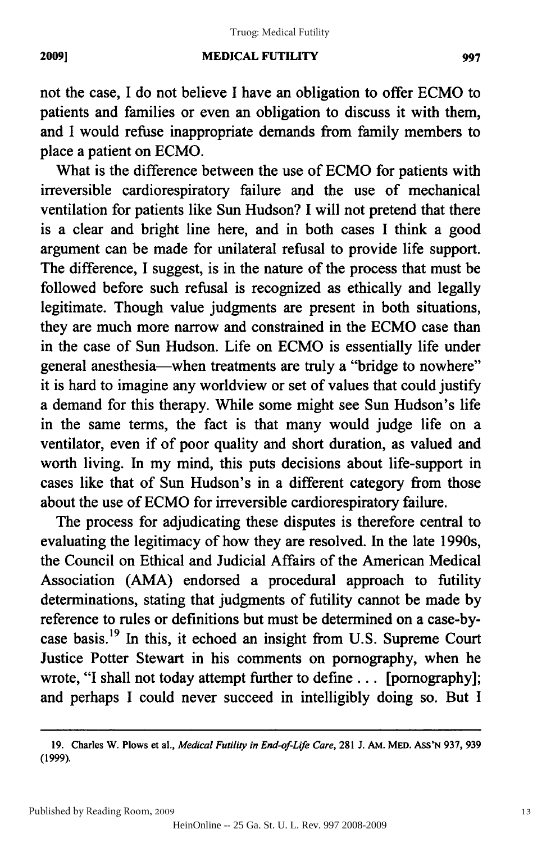#### **MEDICAL FUTILITY** 2009] MEDICAL FUTILITY 997

not the case, I do not believe I have an obligation to offer ECMO to not the case, 1 do not believe 1 have an obligation to offer ECMO to patients and families or even an obligation to discuss it with them, patients and families or even an obligation to discuss it them, and I would refuse inappropriate demands from family members to place a patient on **ECMO.** place a patient on ECMO.

What is the difference between the use of **ECMO** for patients with What is the difference between the use of ECMO for patients with irreversible cardiorespiratory failure and the use of mechanical irreversible cardiorespiratory failure and the use of mechanical ventilation for patients like Sun Hudson? I will not pretend that there is a clear and bright line here, and in both cases I think a good is a clear and bright line here, and in both cases 1 think a good argument can be made for unilateral refusal to provide life support. argument can be made for unilateral refusal to provide life support. The difference, **I** suggest, is in the nature of the process that must be The difference, 1 suggest, is in the nature of the process that must be followed before such refusal is recognized as ethically and legally followed before such refusal is recognized as ethically and legally legitimate. Though value judgments are present in both situations, legitimate. Though value judgments are present in both situations, they are much more narrow and constrained in the **ECMO** case than they are much more narrow and constrained in the ECMO case than in the case of Sun Hudson. Life on **ECMO** is essentially life under in the case of Sun Hudson. Life on ECMO is essentially life under general anesthesia—when treatments are truly a "bridge to nowhere" it is hard to imagine any worldview or set of values that could justify a demand for this therapy. While some might see Sun Hudson's life a demand for this therapy. While some might see Sun Hudson's life in the same terms, the fact is that many would judge life on a in the same terms, the fact is that many would judge life on a ventilator, even if of poor quality and short duration, as valued and worth living. In my mind, this puts decisions about life-support in worth living. In my mind, this puts decisions about life-support in cases like that of Sun Hudson's in a different category from those cases like that of Sun Hudson's in a different category from those about the use of **ECMO** for irreversible cardiorespiratory failure. about the use of ECMO for irreversible cardiorespiratory failure.

The process for adjudicating these disputes is therefore central to The process for adjudicating these disputes is therefore central to evaluating the legitimacy of how they are resolved. In the late 1990s, evaluating the legitimacy of how they are resolved. In the late 1990s, the Council on Ethical and Judicial Affairs of the American Medical the Council on Ethical and Judicial Affairs of the American Medical Association **(AMA)** endorsed a procedural approach to futility Association (AMA) endorsed a procedural approach to futility determinations, stating that judgments of futility cannot be made **by** determinations, stating that judgments of futility cannot be made by reference to rules or definitions but must be determined on a case-by-reference to rules or definitions but must be determined on a case-bycase basis.<sup>19</sup> In this, it echoed an insight from U.S. Supreme Court Justice Potter Stewart in his comments on pornography, when he Justice Potter Stewart in his comments on pornography, when he wrote, **"I** shall not today attempt further to define... [pornography]; wrote, "I shall not today attempt further to define ... [pornography]; and perhaps **I** could never succeed in intelligibly doing so. But **I** and perhaps 1 could never succeed in intelligibly doing so. But 1

<sup>19.</sup> Charles W. Plows et al., Medical Futility in End-of-Life Care, 281 J. AM. MED. ASS'N 937, 939 (1999). (1999).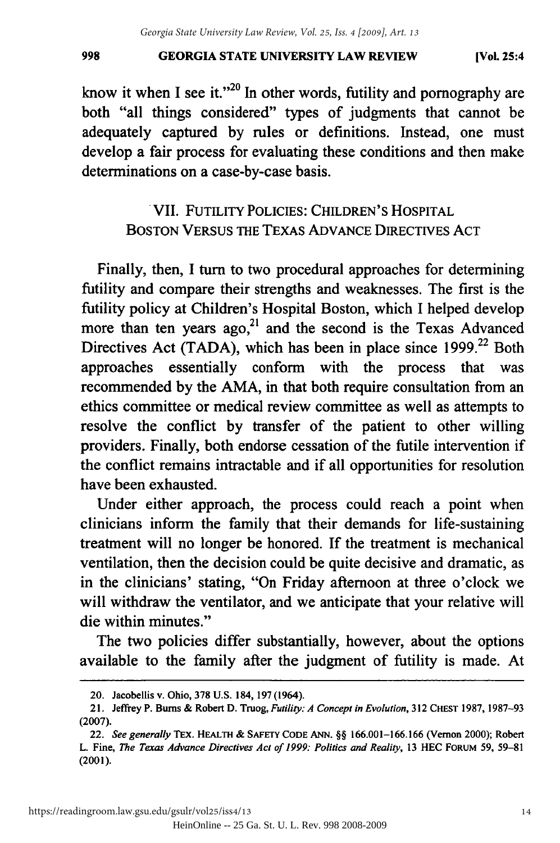know it when I see it."<sup>20</sup> In other words, futility and pornography are both "all things considered" types of judgments that cannot be both "all things considered" types of judgments that cannot be adequately captured by rules or definitions. Instead, one must develop a fair process for evaluating these conditions and then make develop a fair process for evaluating these conditions then make determinations on a case-by-case basis. determinations on a case-by-case basis .

# VII. FUTILITY POLICIES: CHILDREN'S HOSPITAL . VII. FUTILITY POLICIES: CHILDREN'S HOSPITAL BOSTON VERSUS THE TEXAS ADVANCE DIRECTIVES ACT

Finally, then, I turn to two procedural approaches for determining Finally, then, I tum to two procedural approaches for determining futility and compare their strengths and weaknesses. The first is the futility policy at Children's Hospital Boston, which I helped develop futility policy at Children's Hospital Boston, which I helped develop more than ten years  $ago<sub>1</sub><sup>21</sup>$  and the second is the Texas Advanced Directives Act (TADA), which has been in place since  $1999<sup>22</sup>$  Both approaches essentially conform with the process that was recommended by the AMA, in that both require consultation from an recommended by the AMA, in that both require consultation from an ethics committee or medical review committee as well as attempts to resolve the conflict by transfer of the patient to other willing providers. Finally, both endorse cessation of the futile intervention if providers. Finally, both endorse cessation of the futile intervention if the conflict remains intractable and if all opportunities for resolution the conflict remains intractable and if all opportunities for resolution have been exhausted. have been exhausted.

Under either approach, the process could reach a point when clinicians inform the family that their demands for life-sustaining clinicians inform the family that their demands for life-sustaining treatment will no longer be honored. If the treatment is mechanical ventilation, then the decision could be quite decisive and dramatic, as ventilation, then the decision could be quite decisive and dramatic, as in the clinicians' stating, "On Friday afternoon at three o'clock we in the clinicians' stating, "On Friday afternoon at three o'clock we will withdraw the ventilator, and we anticipate that your relative will die within minutes." die within minutes."

The two policies differ substantially, however, about the options The two policies differ substantially, however, about the options available to the family after the judgment of futility is made. At available to the family after the judgment of futility is made. At

<sup>20.</sup> Jacobellis v. Ohio, 378 U.S. 184, 197 (1964).

<sup>21.</sup> Jeffrey P. Bums & Robert D. Truog, *Futility: A Concept in Evolution,* 312 CHEST 1987, 1987-93 21. Jeffrey P. Bums & Robert D. Truog, *Futility: A Concept Evo/ution,* 312 CHEST 1987, 1987-93 (2007). (2007).

<sup>22.</sup> *See generally* TEX. HEALTH **&** SAFETY CODE **ANN. §§** 166.001-166.166 (Vernon 2000); Robert *22. See generally* TEx. HEALTH & SAFETY CODE ANN. §§ 166.001-166.\66 (Vernon Robert L. Fine, *The Texas Advance Directives Act of 1999: Politics and Reality,* 13 HEC FORuM 59, 59-81 L. Fine, *The Texas Advance Directives Act of* 1999: *Politics and Reality,* 13 HEC FORUM 59, 59-81 (2001). (2001).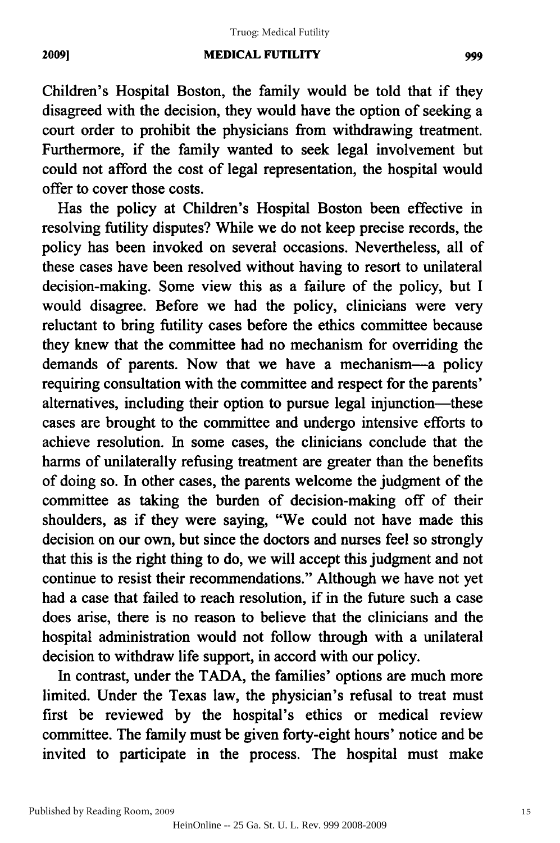#### **MEDICAL FUTILITY** 2009) MEDICAL FUTILITY 999

Children's Hospital Boston, the family would be told that if they disagreed with the decision, they would have the option of seeking a disagreed with the decision, they would have the option of seeking a court order to prohibit the physicians from withdrawing treatment. Furthermore, if the family wanted to seek legal involvement but Furthermore, if the family wanted to seek legal involvement but could not afford the cost of legal representation, the hospital would offer to cover those costs. offer to cover those costs.

Has the policy at Children's Hospital Boston been effective in Has the policy at Children's Hospital Boston been effective in resolving futility disputes? While we do not keep precise records, the resolving futility disputes? While we do not keep precise records, the policy has been invoked on several occasions. Nevertheless, all of policy has been invoked on several occasions. Nevertheless, all of these cases have been resolved without having to resort to unilateral these cases have been resolved without having to resort to unilateral decision-making. Some view this as a failure of the policy, but I decision-making. Some view this as a failure of the policy, but I would disagree. Before we had the policy, clinicians were very would disagree. Before we had the policy, clinicians were very reluctant to bring futility cases before the ethics committee because reluctant to bring futility cases before the ethics committee because they knew that the committee had no mechanism for overriding the they knew that the committee had no mechanism for overriding the demands of parents. Now that we have a mechanism-a policy demands of parents. Now that we have a mechanism-a policy requiring consultation with the committee and respect for the parents' requiring consultation with the committee and respect for the parents' alternatives, including their option to pursue legal injunction-these cases are brought to the committee and undergo intensive efforts to cases are brought to the committee and undergo intensive efforts to achieve resolution. In some cases, the clinicians conclude that the harms of unilaterally refusing treatment are greater than the benefits harms of unilaterally refusing treatment are greater than the benefits of doing so. In other cases, the parents welcome the judgment of the committee as taking the burden of decision-making off of their shoulders, as if they were saying, "We could not have made this decision on our own, but since the doctors and nurses feel so strongly that this is the right thing to do, we will accept this judgment and not continue to resist their recommendations." Although we have not yet had a case that failed to reach resolution, if in the future such a case does arise, there is no reason to believe that the clinicians and the does arise, there is no reason to believe that the clinicians and the hospital administration would not follow through with a unilateral hospital administration would follow through with a unilateral decision to withdraw life support, in accord with our policy. decision to withdraw life support, in accord with our policy.

In contrast, under the TADA, the families' options are much more In contrast, under the TADA, the families' options are much more limited. Under the Texas law, the physician's refusal to treat must limited. Under the Texas law, the physician's refusal to treat must first be reviewed by the hospital's ethics or medical review first be reviewed by the hospital's ethics or medical review committee. The family must be given forty-eight hours' notice and be invited to participate in the process. The hospital must make invited to participate in the process. The hospital must make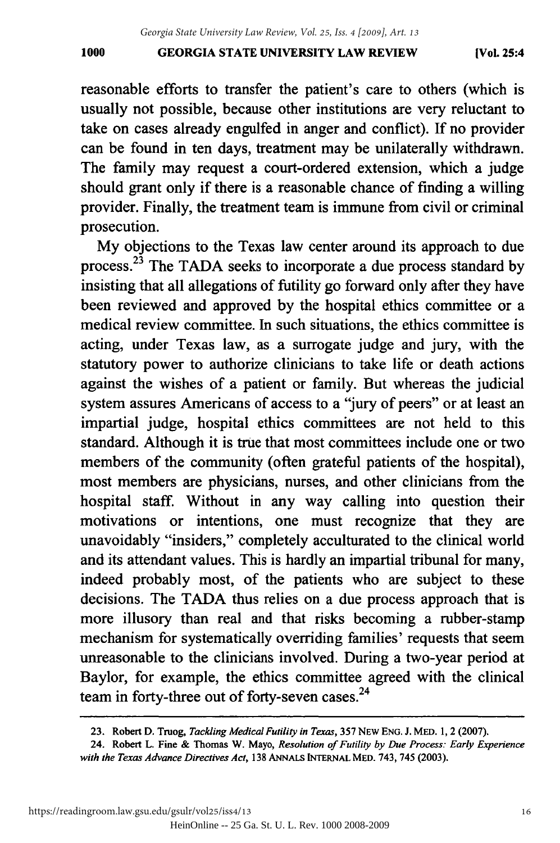#### **GEORGIA STATE UNIVERSITY LAW REVIEW 1000 [Vol. 25:4** 1000 GEORGIA STATE UNIVERSITY LAW REVIEW [Vol. 25:4

reasonable efforts to transfer the patient's care to others (which is usually not possible, because other institutions are very reluctant to usually not possible, because other institutions are very reluctant to take on cases already engulfed in anger and conflict). If no provider take on cases already engulfed in anger and conflict). If no provider can be found in ten days, treatment may be unilaterally withdrawn. can be found in ten days, treatment may be unilaterally withdrawn. The family may request a court-ordered extension, which a judge The family may request a court-ordered extension, which a judge should grant only if there is a reasonable chance of finding a willing should grant only if there is a reasonable chance of finding a willing provider. Finally, the treatment team is immune from civil or criminal provider. Finally, the treatment team is immune from civil or criminal prosecution. prosecution.

My objections to the Texas law center around its approach to due My objections to the Texas law center around its approach to due process.<sup>23</sup> The TADA seeks to incorporate a due process standard by insisting that all allegations of futility go forward only after they have insisting that all allegations of futility go forward only after they have been reviewed and approved by the hospital ethics committee or a been reviewed and approved by the hospital ethics committee or a medical review committee. In such situations, the ethics committee is acting, under Texas law, as a surrogate judge and jury, with the statutory power to authorize clinicians to take life or death actions statutory power to authorize clinicians to take life or death actions against the wishes of a patient or family. But whereas the judicial against the wishes of a patient or family. But whereas the judicial system assures Americans of access to a "jury of peers" or at least an system assures Americans of access to a 'jury of peers" or at least an impartial judge, hospital ethics committees are not held to this impartial judge, hospital ethics committees are not held to this standard. Although it is true that most committees include one or two standard. Although it is true that most committees include one or two members of the community (often grateful patients of the hospital), members of the community (often grateful patients of the hospital), most members are physicians, nurses, and other clinicians from the most members are physicians, nurses, and other clinicians from the hospital staff. Without in any way calling into question their hospital staff. Without in any way calling into question their motivations or intentions, one must recognize that they are unavoidably "insiders," completely acculturated to the clinical world and its attendant values. This is hardly an impartial tribunal for many, indeed probably most, of the patients who are subject to these indeed probably most, of the patients who are subject to these decisions. The TADA thus relies on a due process approach that is more illusory than real and that risks becoming a rubber-stamp mechanism for systematically overriding families' requests that seem unreasonable to the clinicians involved. During a two-year period at unreasonable to the clinicians involved. During a two-year period at Baylor, for example, the ethics committee agreed with the clinical team in forty-three out of forty-seven cases. <sup>24</sup> team in forty-three out of forty-seven cases.<sup>24</sup>

<sup>23.</sup> Robert D. Truog, *Tackling Medical Futility in Texas,* 357 NEW ENG. J. MED. **1,** 2 **(2007).** 23. Robert D. Truog, *Tackling Medical Futility in Texas,* 357 NEW ENG. J. MED. 1,2 (2007).

<sup>24.</sup> Robert L. Fine & Thomas W. Mayo, *Resolution of Futility by Due Process: Early Experience* 24. Robert L. Fine & Thomas W. Mayo, *Resolution of Futility by Due Process: Early Experience*  with the Texas *Advance Directives Act,* **138** ANNALS INTERNAL MED. 743, 745 (2003). *with the Texas Advance Directives Act,* 138 ANNALS iNTERNAL MED. 743, 745 (2003).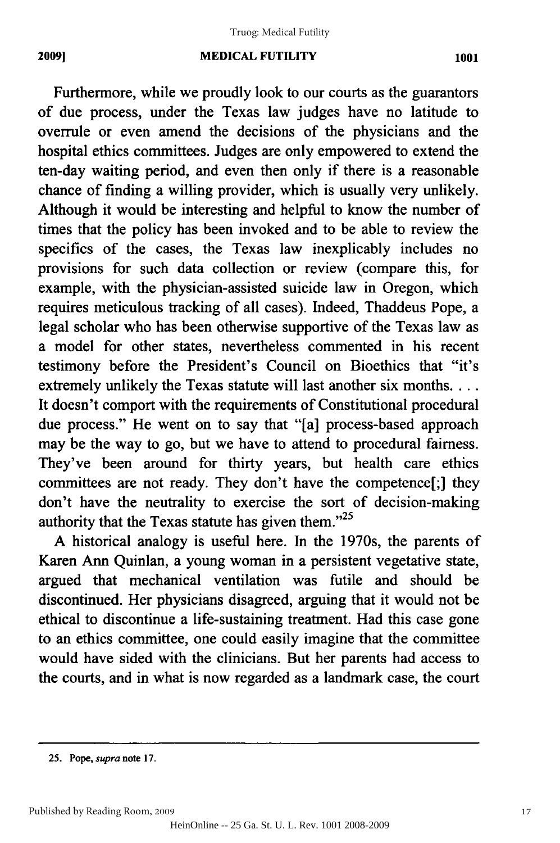#### **MEDICAL FUTILITY** 2009] MEDICAL FUTILITY 1001

Furthermore, while we proudly look to our courts as the guarantors Furthermore, while we proudly look to our courts as the guarantors of due process, under the Texas law judges have no latitude to overrule or even amend the decisions of the physicians and the hospital ethics committees. Judges are only empowered to extend the hospital ethics committees. Judges are only empowered to extend the ten-day waiting period, and even then only if there is a reasonable ten-day waiting period, and even then only if there is a reasonable chance of finding a willing provider, which is usually very unlikely. chance of finding a willing provider, which is usually very unlikely. Although it would be interesting and helpful to know the number of Although it would be interesting and helpful to know the number of times that the policy has been invoked and to be able to review the times that the policy has been invoked and to be able to review the specifics of the cases, the Texas law inexplicably includes no specifics of the cases, the Texas law inexplicably includes no provisions for such data collection or review (compare this, for provisions for such data collection or review (compare this, for example, with the physician-assisted suicide law in Oregon, which example, with the physician-assisted suicide law in Oregon, which requires meticulous tracking of all cases). Indeed, Thaddeus Pope, a requires meticulous tracking of all cases). Indeed, Thaddeus Pope, a legal scholar who has been otherwise supportive of the Texas law as legal scholar who has been otherwise supportive of the Texas law as a model for other states, nevertheless commented in his recent a model for other states, nevertheless commented in his recent testimony before the President's Council on Bioethics that "it's testimony before the President's Council on Bioethics that "it's extremely unlikely the Texas statute will last another six months.... extremely unlikely the Texas statute will last another six months .... It doesn't comport with the requirements of Constitutional procedural It doesn't comport with the requirements of Constitutional procedural due process." He went on to say that "[a] process-based approach due process." He went on to say that "[a] process-based approach may be the way to go, but we have to attend to procedural fairness. may be the way to go, but we have to attend to procedural fairness. They've been around for thirty years, but health care ethics They've been around for thirty years, but health care ethics committees are not ready. They don't have the competence[;] they committees are not ready. They don't have the competence[;] they don't have the neutrality to exercise the sort of decision-making don't have the neutrality to exercise the sort of decision-making authority that the Texas statute has given them. $^{2.25}$ 

A historical analogy is useful here. In the 1970s, the parents of A historical analogy is useful here. In the 1970s, the parents of Karen Ann Quinlan, a young woman in a persistent vegetative state, Karen Ann Quinlan, a young woman in a persistent vegetative state, argued that mechanical ventilation was futile and should be argued that mechanical ventilation was futile and should be discontinued. Her physicians disagreed, arguing that it would not be discontinued. Her physicians disagreed, arguing that it would not be ethical to discontinue a life-sustaining treatment. Had this case gone ethical to discontinue a life-sustaining treatment. Had this case gone to an ethics committee, one could easily imagine that the committee to an ethics committee, one could easily imagine that the committee would have sided with the clinicians. But her parents had access to would have sided with the clinicians. But her parents had access to the courts, and in what is now regarded as a landmark case, the court the courts, and in what is now regarded as a landmark case, the court

**<sup>25.</sup> Pope,** *supra* note **17.** 25. Pope, *supra* note 17.